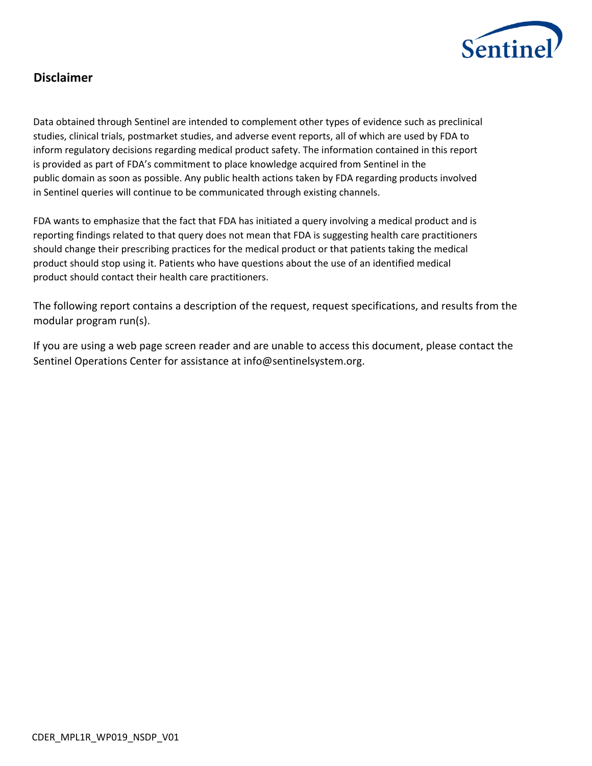

# **Disclaimer**

Data obtained through Sentinel are intended to complement other types of evidence such as preclinical studies, clinical trials, postmarket studies, and adverse event reports, all of which are used by FDA to inform regulatory decisions regarding medical product safety. The information contained in this report is provided as part of FDA's commitment to place knowledge acquired from Sentinel in the public domain as soon as possible. Any public health actions taken by FDA regarding products involved in Sentinel queries will continue to be communicated through existing channels.

FDA wants to emphasize that the fact that FDA has initiated a query involving a medical product and is reporting findings related to that query does not mean that FDA is suggesting health care practitioners should change their prescribing practices for the medical product or that patients taking the medical product should stop using it. Patients who have questions about the use of an identified medical product should contact their health care practitioners.

The following report contains a description of the request, request specifications, and results from the modular program run(s).

If you are using a web page screen reader and are unable to access this document, please contact the Sentinel Operations Center for assistance at info@sentinelsystem.org.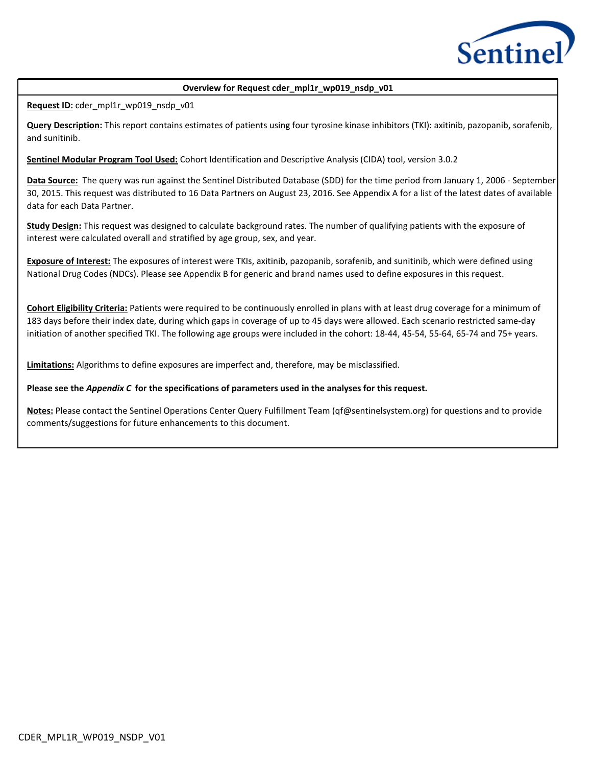

### **Overview for Request cder\_mpl1r\_wp019\_nsdp\_v01**

**Request ID:** cder\_mpl1r\_wp019\_nsdp\_v01

**Query Description:** This report contains estimates of patients using four tyrosine kinase inhibitors (TKI): axitinib, pazopanib, sorafenib, and sunitinib.

**Sentinel Modular Program Tool Used:** Cohort Identification and Descriptive Analysis (CIDA) tool, version 3.0.2

**Data Source:** The query was run against the Sentinel Distributed Database (SDD) for the time period from January 1, 2006 - September 30, 2015. This request was distributed to 16 Data Partners on August 23, 2016. See Appendix A for a list of the latest dates of available data for each Data Partner.

**Study Design:** This request was designed to calculate background rates. The number of qualifying patients with the exposure of interest were calculated overall and stratified by age group, sex, and year.

**Exposure of Interest:** The exposures of interest were TKIs, axitinib, pazopanib, sorafenib, and sunitinib, which were defined using National Drug Codes (NDCs). Please see Appendix B for generic and brand names used to define exposures in this request.

**Cohort Eligibility Criteria:** Patients were required to be continuously enrolled in plans with at least drug coverage for a minimum of 183 days before their index date, during which gaps in coverage of up to 45 days were allowed. Each scenario restricted same-day initiation of another specified TKI. The following age groups were included in the cohort: 18-44, 45-54, 55-64, 65-74 and 75+ years.

**Limitations:** Algorithms to define exposures are imperfect and, therefore, may be misclassified.

#### **Please see the** *Appendix C* **for the specifications of parameters used in the analyses for this request.**

**Notes:** Please contact the Sentinel Operations Center Query Fulfillment Team (qf@sentinelsystem.org) for questions and to provide comments/suggestions for future enhancements to this document.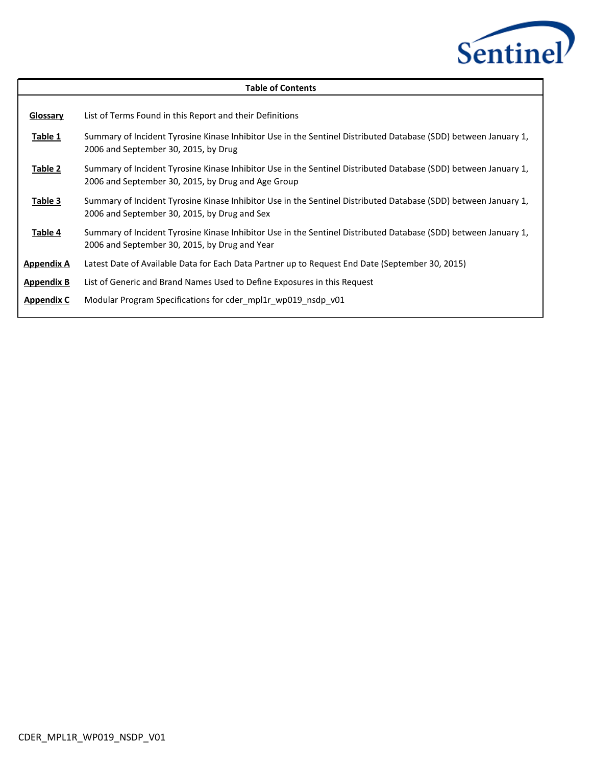

|                   | <b>Table of Contents</b>                                                                                                                                              |  |  |  |  |  |  |  |  |  |  |
|-------------------|-----------------------------------------------------------------------------------------------------------------------------------------------------------------------|--|--|--|--|--|--|--|--|--|--|
| Glossary          | List of Terms Found in this Report and their Definitions                                                                                                              |  |  |  |  |  |  |  |  |  |  |
| Table 1           | Summary of Incident Tyrosine Kinase Inhibitor Use in the Sentinel Distributed Database (SDD) between January 1,<br>2006 and September 30, 2015, by Drug               |  |  |  |  |  |  |  |  |  |  |
| Table 2           | Summary of Incident Tyrosine Kinase Inhibitor Use in the Sentinel Distributed Database (SDD) between January 1,<br>2006 and September 30, 2015, by Drug and Age Group |  |  |  |  |  |  |  |  |  |  |
| Table 3           | Summary of Incident Tyrosine Kinase Inhibitor Use in the Sentinel Distributed Database (SDD) between January 1,<br>2006 and September 30, 2015, by Drug and Sex       |  |  |  |  |  |  |  |  |  |  |
| Table 4           | Summary of Incident Tyrosine Kinase Inhibitor Use in the Sentinel Distributed Database (SDD) between January 1,<br>2006 and September 30, 2015, by Drug and Year      |  |  |  |  |  |  |  |  |  |  |
| <b>Appendix A</b> | Latest Date of Available Data for Each Data Partner up to Request End Date (September 30, 2015)                                                                       |  |  |  |  |  |  |  |  |  |  |
| <b>Appendix B</b> | List of Generic and Brand Names Used to Define Exposures in this Request                                                                                              |  |  |  |  |  |  |  |  |  |  |
| <b>Appendix C</b> | Modular Program Specifications for cder_mpl1r_wp019_nsdp_v01                                                                                                          |  |  |  |  |  |  |  |  |  |  |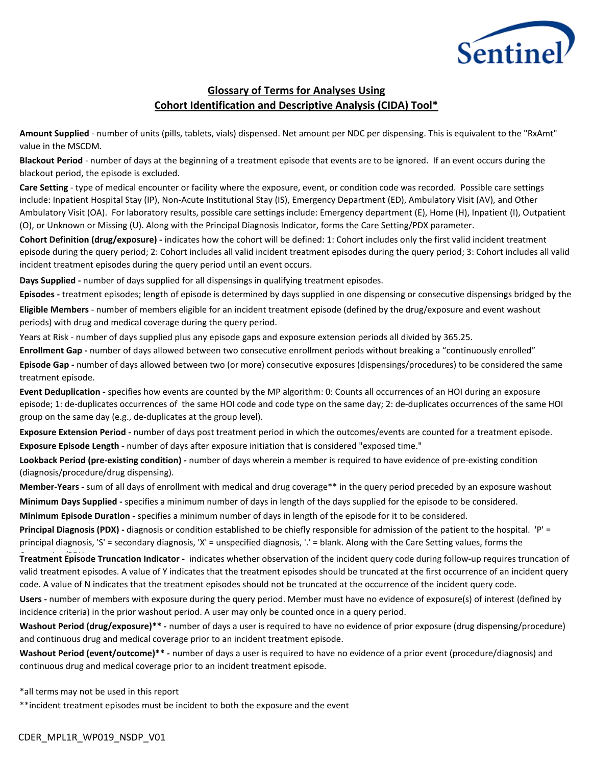

## **Glossary of Terms for Analyses Using Cohort Identification and Descriptive Analysis (CIDA) Tool\***

**Amount Supplied** - number of units (pills, tablets, vials) dispensed. Net amount per NDC per dispensing. This is equivalent to the "RxAmt" value in the MSCDM.

**Blackout Period** - number of days at the beginning of a treatment episode that events are to be ignored. If an event occurs during the blackout period, the episode is excluded.

**Care Setting** - type of medical encounter or facility where the exposure, event, or condition code was recorded. Possible care settings include: Inpatient Hospital Stay (IP), Non-Acute Institutional Stay (IS), Emergency Department (ED), Ambulatory Visit (AV), and Other Ambulatory Visit (OA). For laboratory results, possible care settings include: Emergency department (E), Home (H), Inpatient (I), Outpatient (O), or Unknown or Missing (U). Along with the Principal Diagnosis Indicator, forms the Care Setting/PDX parameter.

**Cohort Definition (drug/exposure) -** indicates how the cohort will be defined: 1: Cohort includes only the first valid incident treatment episode during the query period; 2: Cohort includes all valid incident treatment episodes during the query period; 3: Cohort includes all valid incident treatment episodes during the query period until an event occurs.

**Days Supplied -** number of days supplied for all dispensings in qualifying treatment episodes.

**Episodes -** treatment episodes; length of episode is determined by days supplied in one dispensing or consecutive dispensings bridged by the

episode gap. **Eligible Members** - number of members eligible for an incident treatment episode (defined by the drug/exposure and event washout periods) with drug and medical coverage during the query period.

Years at Risk - number of days supplied plus any episode gaps and exposure extension periods all divided by 365.25.

**Enrollment Gap -** number of days allowed between two consecutive enrollment periods without breaking a "continuously enrolled" Episode Gap - number of days allowed between two (or more) consecutive exposures (dispensings/procedures) to be considered the same treatment episode.

**Event Deduplication -** specifies how events are counted by the MP algorithm: 0: Counts all occurrences of an HOI during an exposure episode; 1: de-duplicates occurrences of the same HOI code and code type on the same day; 2: de-duplicates occurrences of the same HOI group on the same day (e.g., de-duplicates at the group level).

**Exposure Extension Period -** number of days post treatment period in which the outcomes/events are counted for a treatment episode. **Exposure Episode Length -** number of days after exposure initiation that is considered "exposed time."

**Lookback Period (pre-existing condition) -** number of days wherein a member is required to have evidence of pre-existing condition (diagnosis/procedure/drug dispensing).

**Member-Years -** sum of all days of enrollment with medical and drug coverage\*\* in the query period preceded by an exposure washout Minimum Days Supplied - specifies a minimum number of days in length of the days supplied for the episode to be considered.

**Minimum Episode Duration -** specifies a minimum number of days in length of the episode for it to be considered.

**Principal Diagnosis (PDX) -** diagnosis or condition established to be chiefly responsible for admission of the patient to the hospital. 'P' = principal diagnosis, 'S' = secondary diagnosis, 'X' = unspecified diagnosis, '.' = blank. Along with the Care Setting values, forms the

Treatment Episode Truncation Indicator - indicates whether observation of the incident query code during follow-up requires truncation of valid treatment episodes. A value of Y indicates that the treatment episodes should be truncated at the first occurrence of an incident query code. A value of N indicates that the treatment episodes should not be truncated at the occurrence of the incident query code.

**Users -** number of members with exposure during the query period. Member must have no evidence of exposure(s) of interest (defined by incidence criteria) in the prior washout period. A user may only be counted once in a query period.

**Washout Period (drug/exposure)\*\* -** number of days a user is required to have no evidence of prior exposure (drug dispensing/procedure) and continuous drug and medical coverage prior to an incident treatment episode.

**Washout Period (event/outcome)\*\* -** number of days a user is required to have no evidence of a prior event (procedure/diagnosis) and continuous drug and medical coverage prior to an incident treatment episode.

\*all terms may not be used in this report

\*\*incident treatment episodes must be incident to both the exposure and the event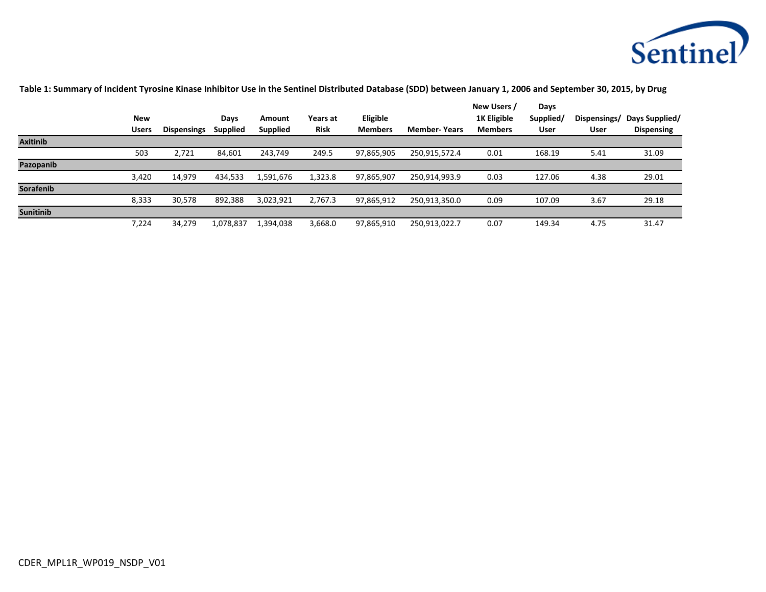

|                  |              |                    |                 |                 |          |                |                     | New Users /    | Days      |              |                   |
|------------------|--------------|--------------------|-----------------|-----------------|----------|----------------|---------------------|----------------|-----------|--------------|-------------------|
|                  | <b>New</b>   |                    | Days            | Amount          | Years at | Eligible       |                     | 1K Eligible    | Supplied/ | Dispensings/ | Days Supplied/    |
|                  | <b>Users</b> | <b>Dispensings</b> | <b>Supplied</b> | <b>Supplied</b> | Risk     | <b>Members</b> | <b>Member-Years</b> | <b>Members</b> | User      | User         | <b>Dispensing</b> |
| <b>Axitinib</b>  |              |                    |                 |                 |          |                |                     |                |           |              |                   |
|                  | 503          | 2,721              | 84,601          | 243,749         | 249.5    | 97,865,905     | 250,915,572.4       | 0.01           | 168.19    | 5.41         | 31.09             |
| Pazopanib        |              |                    |                 |                 |          |                |                     |                |           |              |                   |
|                  | 3,420        | 14,979             | 434,533         | 1,591,676       | 1,323.8  | 97,865,907     | 250,914,993.9       | 0.03           | 127.06    | 4.38         | 29.01             |
| <b>Sorafenib</b> |              |                    |                 |                 |          |                |                     |                |           |              |                   |
|                  | 8,333        | 30,578             | 892,388         | 3,023,921       | 2,767.3  | 97,865,912     | 250,913,350.0       | 0.09           | 107.09    | 3.67         | 29.18             |
| <b>Sunitinib</b> |              |                    |                 |                 |          |                |                     |                |           |              |                   |
|                  | 7,224        | 34,279             | 1,078,837       | 1,394,038       | 3,668.0  | 97,865,910     | 250,913,022.7       | 0.07           | 149.34    | 4.75         | 31.47             |

**Table 1: Summary of Incident Tyrosine Kinase Inhibitor Use in the Sentinel Distributed Database (SDD) between January 1, 2006 and September 30, 2015, by Drug**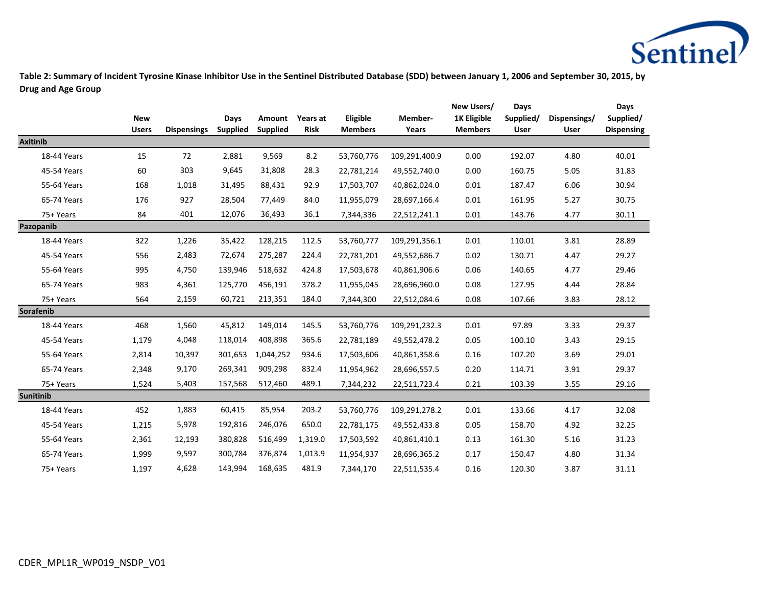

**Table 2: Summary of Incident Tyrosine Kinase Inhibitor Use in the Sentinel Distributed Database (SDD) between January 1, 2006 and September 30, 2015, by Drug and Age Group**

|                  | <b>New</b><br><b>Users</b> | <b>Dispensings</b> | Days<br><b>Supplied</b> | Amount<br><b>Supplied</b> | Years at<br><b>Risk</b> | Eligible<br><b>Members</b> | Member-<br>Years               | New Users/<br>Days<br>1K Eligible<br>Supplied/<br><b>Members</b><br>User |        | Dispensings/<br>User | Days<br>Supplied/<br><b>Dispensing</b> |
|------------------|----------------------------|--------------------|-------------------------|---------------------------|-------------------------|----------------------------|--------------------------------|--------------------------------------------------------------------------|--------|----------------------|----------------------------------------|
| <b>Axitinib</b>  |                            |                    |                         |                           |                         |                            |                                |                                                                          |        |                      |                                        |
| 18-44 Years      | 15                         | 72                 | 2,881                   | 9,569                     | 8.2                     | 53,760,776                 | 109,291,400.9                  | 0.00                                                                     | 192.07 | 4.80                 | 40.01                                  |
| 45-54 Years      | 60                         | 303                | 9,645                   | 31,808                    | 28.3                    | 22,781,214                 | 0.00<br>160.75<br>49,552,740.0 |                                                                          | 5.05   | 31.83                |                                        |
| 55-64 Years      | 168                        | 1,018              | 31,495                  | 88,431                    | 92.9                    | 17,503,707                 | 40,862,024.0                   | 187.47<br>0.01                                                           |        | 6.06                 | 30.94                                  |
| 65-74 Years      | 176                        | 927                | 28,504                  | 77,449                    | 84.0                    | 11,955,079                 | 28,697,166.4                   | 0.01                                                                     | 161.95 | 5.27                 | 30.75                                  |
| 75+ Years        | 84                         | 401                | 12,076                  | 36,493                    | 36.1                    | 7,344,336                  | 22,512,241.1                   | 0.01                                                                     | 143.76 | 4.77                 | 30.11                                  |
| Pazopanib        |                            |                    |                         |                           |                         |                            |                                |                                                                          |        |                      |                                        |
| 18-44 Years      | 322                        | 1,226              | 35,422                  | 128,215                   | 112.5                   | 53,760,777                 | 109,291,356.1                  | 0.01                                                                     | 110.01 | 3.81                 | 28.89                                  |
| 45-54 Years      | 556                        | 2,483              | 72,674                  | 275,287                   | 224.4                   | 22,781,201                 | 49,552,686.7                   | 0.02                                                                     | 130.71 | 4.47                 | 29.27                                  |
| 55-64 Years      | 995                        | 4,750              | 139,946                 | 518,632                   | 424.8                   | 17,503,678                 | 40,861,906.6                   | 0.06                                                                     | 140.65 | 4.77                 | 29.46                                  |
| 65-74 Years      | 983                        | 4,361              | 125,770                 | 456,191                   | 378.2                   | 11,955,045                 | 28,696,960.0                   | 0.08                                                                     | 127.95 | 4.44                 | 28.84                                  |
| 75+ Years        | 564                        | 2,159              | 60,721                  | 213,351                   | 184.0                   | 7,344,300                  | 22,512,084.6                   | 0.08                                                                     | 107.66 | 3.83                 | 28.12                                  |
| Sorafenib        |                            |                    |                         |                           |                         |                            |                                |                                                                          |        |                      |                                        |
| 18-44 Years      | 468                        | 1,560              | 45,812                  | 149,014                   | 145.5                   | 53,760,776                 | 109,291,232.3                  | 0.01                                                                     | 97.89  | 3.33                 | 29.37                                  |
| 45-54 Years      | 1,179                      | 4,048              | 118,014                 | 408,898                   | 365.6                   | 22,781,189                 | 49,552,478.2                   | 0.05                                                                     | 100.10 | 3.43                 | 29.15                                  |
| 55-64 Years      | 2,814                      | 10,397             | 301,653                 | 1,044,252                 | 934.6                   | 17,503,606                 | 40,861,358.6                   | 0.16                                                                     | 107.20 | 3.69                 | 29.01                                  |
| 65-74 Years      | 2,348                      | 9,170              | 269,341                 | 909,298                   | 832.4                   | 11,954,962                 | 28,696,557.5                   | 0.20                                                                     | 114.71 | 3.91                 | 29.37                                  |
| 75+ Years        | 1,524                      | 5,403              | 157,568                 | 512,460                   | 489.1                   | 7,344,232                  | 22,511,723.4                   | 0.21                                                                     | 103.39 | 3.55                 | 29.16                                  |
| <b>Sunitinib</b> |                            |                    |                         |                           |                         |                            |                                |                                                                          |        |                      |                                        |
| 18-44 Years      | 452                        | 1,883              | 60,415                  | 85,954                    | 203.2                   | 53,760,776                 | 109,291,278.2                  | 0.01                                                                     | 133.66 | 4.17                 | 32.08                                  |
| 45-54 Years      | 1,215                      | 5,978              | 192,816                 | 246,076                   | 650.0                   | 22,781,175                 | 49,552,433.8                   | 0.05                                                                     | 158.70 | 4.92                 | 32.25                                  |
| 55-64 Years      | 2,361                      | 12,193             | 380,828                 | 516,499                   | 1,319.0                 | 17,503,592                 | 40,861,410.1                   | 0.13                                                                     | 161.30 | 5.16                 | 31.23                                  |
| 65-74 Years      | 1,999                      | 9,597              | 300,784                 | 376,874                   | 1,013.9                 | 11,954,937                 | 28,696,365.2                   | 0.17                                                                     | 150.47 | 4.80                 | 31.34                                  |
| 75+ Years        | 1.197                      | 4,628              | 143,994                 | 168,635                   | 481.9                   | 7,344,170                  | 22,511,535.4                   | 0.16                                                                     | 120.30 | 3.87                 | 31.11                                  |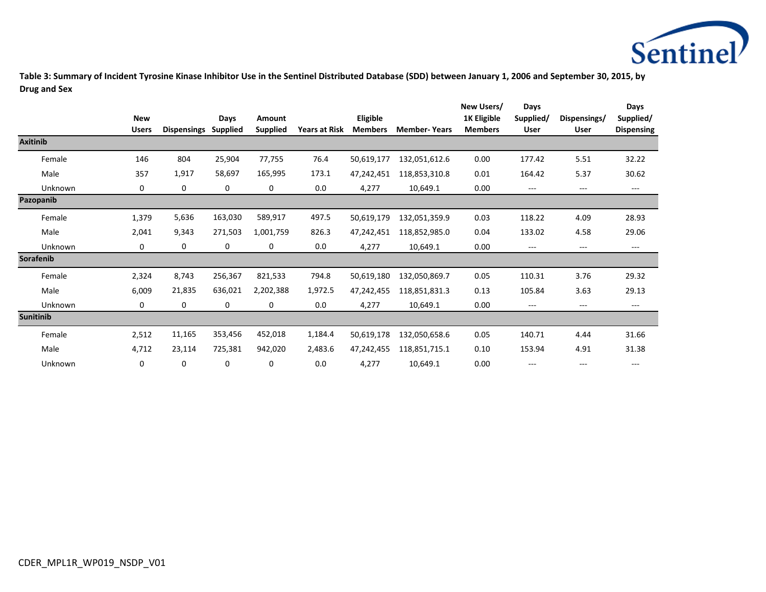

**Table 3: Summary of Incident Tyrosine Kinase Inhibitor Use in the Sentinel Distributed Database (SDD) between January 1, 2006 and September 30, 2015, by Drug and Sex**

|                  |              |                    |                 |                 |                      |                |                     | New Users/         | Days        |              | Days              |
|------------------|--------------|--------------------|-----------------|-----------------|----------------------|----------------|---------------------|--------------------|-------------|--------------|-------------------|
|                  | <b>New</b>   |                    | Days            | <b>Amount</b>   |                      | Eligible       |                     | <b>1K Eligible</b> | Supplied/   | Dispensings/ | Supplied/         |
|                  | <b>Users</b> | <b>Dispensings</b> | <b>Supplied</b> | <b>Supplied</b> | <b>Years at Risk</b> | <b>Members</b> | <b>Member-Years</b> | <b>Members</b>     | <b>User</b> | User         | <b>Dispensing</b> |
| <b>Axitinib</b>  |              |                    |                 |                 |                      |                |                     |                    |             |              |                   |
| Female           | 146          | 804                | 25,904          | 77,755          | 76.4                 | 50,619,177     | 132,051,612.6       | 0.00               | 177.42      | 5.51         | 32.22             |
| Male             | 357          | 1,917              | 58,697          | 165,995         | 173.1                | 47,242,451     | 118,853,310.8       | 0.01               | 164.42      | 5.37         | 30.62             |
| Unknown          | 0            | 0                  | 0               | 0               | 0.0                  | 4,277          | 10,649.1            | 0.00               | $---$       | ---          | $---$             |
| Pazopanib        |              |                    |                 |                 |                      |                |                     |                    |             |              |                   |
| Female           | 1,379        | 5,636              | 163,030         | 589,917         | 497.5                | 50,619,179     | 132,051,359.9       | 0.03               | 118.22      | 4.09         | 28.93             |
| Male             | 2,041        | 9,343              | 271,503         | 1,001,759       | 826.3                | 47,242,451     | 118,852,985.0       | 0.04               | 133.02      | 4.58         | 29.06             |
| Unknown          | 0            | 0                  | 0               | 0               | 0.0                  | 4,277          | 10,649.1            | 0.00               | $---$       | ---          | $---$             |
| Sorafenib        |              |                    |                 |                 |                      |                |                     |                    |             |              |                   |
| Female           | 2,324        | 8,743              | 256,367         | 821,533         | 794.8                | 50,619,180     | 132,050,869.7       | 0.05               | 110.31      | 3.76         | 29.32             |
| Male             | 6,009        | 21,835             | 636,021         | 2,202,388       | 1,972.5              | 47,242,455     | 118,851,831.3       | 0.13               | 105.84      | 3.63         | 29.13             |
| Unknown          | 0            | $\mathbf 0$        | 0               | 0               | 0.0                  | 4,277          | 10,649.1            | 0.00               | $---$       | ---          | $---$             |
| <b>Sunitinib</b> |              |                    |                 |                 |                      |                |                     |                    |             |              |                   |
| Female           | 2,512        | 11,165             | 353,456         | 452,018         | 1,184.4              | 50,619,178     | 132,050,658.6       | 0.05               | 140.71      | 4.44         | 31.66             |
| Male             | 4,712        | 23,114             | 725,381         | 942,020         | 2,483.6              | 47,242,455     | 118,851,715.1       | 0.10               | 153.94      | 4.91         | 31.38             |
| Unknown          | 0            | 0                  | 0               | 0               | 0.0                  | 4,277          | 10,649.1            | 0.00               | $---$       | ---          | $---$             |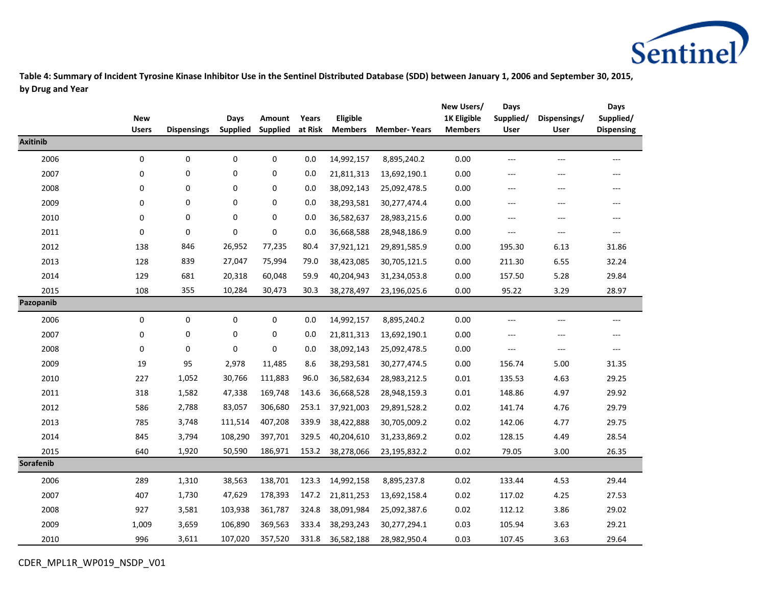

**Table 4: Summary of Incident Tyrosine Kinase Inhibitor Use in the Sentinel Distributed Database (SDD) between January 1, 2006 and September 30, 2015, by Drug and Year**

|                 | <b>New</b><br><b>Users</b> | <b>Dispensings</b> | Days<br><b>Supplied</b> | Amount<br><b>Supplied</b> | Years<br>at Risk | Eligible<br><b>Members</b> | <b>Member-Years</b> | New Users/<br>1K Eligible<br><b>Members</b> | <b>Days</b><br>Supplied/<br><b>User</b> | Dispensings/<br><b>User</b> | Days<br>Supplied/<br><b>Dispensing</b> |  |
|-----------------|----------------------------|--------------------|-------------------------|---------------------------|------------------|----------------------------|---------------------|---------------------------------------------|-----------------------------------------|-----------------------------|----------------------------------------|--|
| <b>Axitinib</b> |                            |                    |                         |                           |                  |                            |                     |                                             |                                         |                             |                                        |  |
| 2006            | 0                          | $\mathbf 0$        | 0                       | $\mathbf 0$               | 0.0              | 14,992,157                 | 8,895,240.2         | 0.00                                        | $\overline{a}$                          | $\overline{a}$              | $\overline{a}$                         |  |
| 2007            | 0                          | 0                  | $\pmb{0}$               | 0                         | 0.0              | 21,811,313                 | 13,692,190.1        | 0.00                                        | $\overline{a}$                          | ---                         | $---$                                  |  |
| 2008            | 0                          | $\mathbf 0$        | 0                       | 0                         | 0.0              | 38,092,143                 | 25,092,478.5        | 0.00                                        | $---$                                   | $---$                       | $---$                                  |  |
| 2009            | 0                          | 0                  | 0                       | 0                         | 0.0              | 38,293,581                 | 30,277,474.4        | 0.00                                        | ---                                     | $---$                       | $\overline{a}$                         |  |
| 2010            | 0                          | $\mathbf 0$        | 0                       | 0                         | 0.0              | 36,582,637                 | 28,983,215.6        | 0.00                                        |                                         |                             | ---                                    |  |
| 2011            | 0                          | 0                  | $\mathbf 0$             | 0                         | 0.0              | 36,668,588                 | 28,948,186.9        | 0.00                                        | $---$                                   | ---                         | $---$                                  |  |
| 2012            | 138                        | 846                | 26,952                  | 77,235                    | 80.4             | 37,921,121                 | 29,891,585.9        | 0.00                                        | 195.30                                  | 6.13                        | 31.86                                  |  |
| 2013            | 128                        | 839                | 27,047                  | 75,994                    | 79.0             | 38,423,085                 | 30,705,121.5        | 0.00                                        | 211.30                                  | 6.55                        | 32.24                                  |  |
| 2014            | 129                        | 681                | 20,318                  | 60,048                    | 59.9             | 40,204,943                 | 31,234,053.8        | 0.00                                        | 157.50                                  | 5.28                        | 29.84                                  |  |
| 2015            | 108                        | 355                | 10,284                  | 30,473                    | 30.3             | 38,278,497                 | 23,196,025.6        | 0.00                                        | 95.22                                   | 3.29                        | 28.97                                  |  |
| Pazopanib       |                            |                    |                         |                           |                  |                            |                     |                                             |                                         |                             |                                        |  |
| 2006            | 0                          | 0                  | 0                       | 0                         | 0.0              | 14,992,157                 | 8,895,240.2         | 0.00                                        | $---$                                   | ---                         | $---$                                  |  |
| 2007            | 0                          | 0                  | $\mathbf 0$             | 0                         | 0.0              | 21,811,313                 | 13,692,190.1        | 0.00                                        | $\overline{a}$                          | ---                         | $---$                                  |  |
| 2008            | 0                          | $\mathbf 0$        | $\mathbf 0$             | 0                         | 0.0              | 38,092,143                 | 25,092,478.5        | 0.00                                        | $---$                                   | ---                         | $---$                                  |  |
| 2009            | 19                         | 95                 | 2,978                   | 11,485                    | 8.6              | 38,293,581                 | 30,277,474.5        | 0.00                                        | 156.74                                  | 5.00                        | 31.35                                  |  |
| 2010            | 227                        | 1,052              | 30,766                  | 111,883                   | 96.0             | 36,582,634                 | 28,983,212.5        | 0.01                                        | 135.53                                  | 4.63                        | 29.25                                  |  |
| 2011            | 318                        | 1,582              | 47,338                  | 169,748                   | 143.6            | 36,668,528                 | 28,948,159.3        | 0.01                                        | 148.86                                  | 4.97                        | 29.92                                  |  |
| 2012            | 586                        | 2,788              | 83,057                  | 306,680                   | 253.1            | 37,921,003                 | 29,891,528.2        | 0.02                                        | 141.74                                  | 4.76                        | 29.79                                  |  |
| 2013            | 785                        | 3,748              | 111,514                 | 407,208                   | 339.9            | 38,422,888                 | 30,705,009.2        | 0.02                                        | 142.06                                  | 4.77                        | 29.75                                  |  |
| 2014            | 845                        | 3,794              | 108,290                 | 397,701                   | 329.5            | 40,204,610                 | 31,233,869.2        | 0.02                                        | 128.15                                  | 4.49                        | 28.54                                  |  |
| 2015            | 640                        | 1,920              | 50,590                  | 186,971                   | 153.2            | 38,278,066                 | 23,195,832.2        | 0.02                                        | 79.05                                   | 3.00                        | 26.35                                  |  |
| Sorafenib       |                            |                    |                         |                           |                  |                            |                     |                                             |                                         |                             |                                        |  |
| 2006            | 289                        | 1,310              | 38,563                  | 138,701                   | 123.3            | 14,992,158                 | 8,895,237.8         | 0.02                                        | 133.44                                  | 4.53                        | 29.44                                  |  |
| 2007            | 407                        | 1,730              | 47,629                  | 178,393                   | 147.2            | 21,811,253                 | 13,692,158.4        | 0.02                                        | 117.02                                  | 4.25                        | 27.53                                  |  |
| 2008            | 927                        | 3,581              | 103,938                 | 361,787                   | 324.8            | 38,091,984                 | 25,092,387.6        | 0.02                                        | 112.12                                  | 3.86                        | 29.02                                  |  |
| 2009            | 1,009                      | 3,659              | 106,890                 | 369,563                   | 333.4            | 38,293,243                 | 30,277,294.1        | 0.03                                        | 105.94                                  | 3.63                        | 29.21                                  |  |
| 2010            | 996                        | 3,611              | 107,020                 | 357,520                   | 331.8            | 36,582,188                 | 28,982,950.4        | 0.03<br>107.45                              |                                         | 3.63                        | 29.64                                  |  |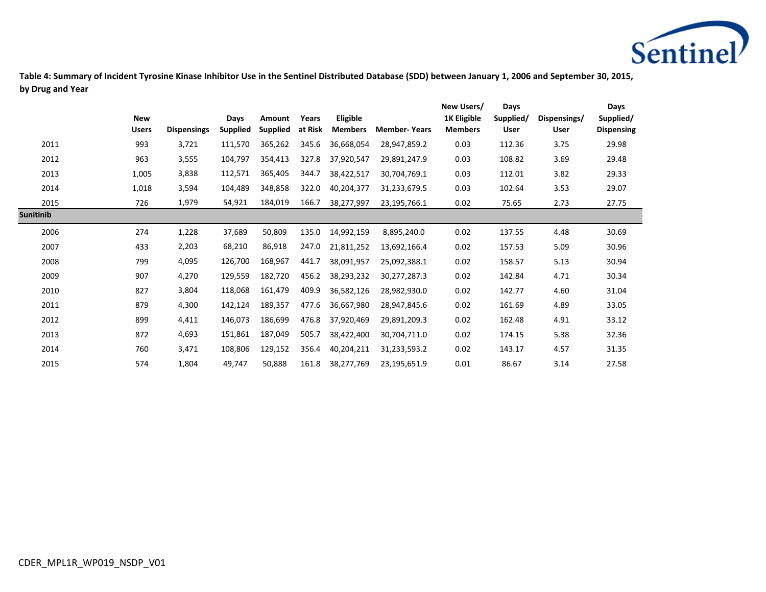

**Table 4: Summary of Incident Tyrosine Kinase Inhibitor Use in the Sentinel Distributed Database (SDD) between January 1, 2006 and September 30, 2015, by Drug and Year**

|                  | <b>New</b><br><b>Users</b> | <b>Dispensings</b> | Days<br><b>Supplied</b> | Amount<br>Supplied | Years<br>at Risk | Eligible<br><b>Members</b> | <b>Member-Years</b> | New Users/<br>1K Eligible<br><b>Members</b> | Days<br>Supplied/<br><b>User</b> | Dispensings/<br>User | Days<br>Supplied/<br><b>Dispensing</b> |
|------------------|----------------------------|--------------------|-------------------------|--------------------|------------------|----------------------------|---------------------|---------------------------------------------|----------------------------------|----------------------|----------------------------------------|
| 2011             | 993                        | 3,721              | 111,570                 | 365,262            | 345.6            | 36,668,054                 | 28,947,859.2        | 0.03                                        | 112.36                           | 3.75                 | 29.98                                  |
| 2012             | 963                        | 3,555              | 104,797                 | 354,413            | 327.8            | 37,920,547                 | 29,891,247.9        | 0.03                                        | 108.82                           | 3.69                 | 29.48                                  |
| 2013             | 1,005                      | 3,838              | 112,571                 | 365,405            | 344.7            | 38,422,517                 | 30,704,769.1        | 0.03                                        | 112.01                           | 3.82                 | 29.33                                  |
| 2014             | 1,018                      | 3,594              | 104,489                 | 348,858            | 322.0            | 40,204,377                 | 31,233,679.5        | 0.03                                        | 102.64                           | 3.53                 | 29.07                                  |
| 2015             | 726                        | 1,979              | 54,921                  | 184,019            | 166.7            | 38,277,997                 | 23,195,766.1        | 0.02                                        | 75.65                            | 2.73                 | 27.75                                  |
| <b>Sunitinib</b> |                            |                    |                         |                    |                  |                            |                     |                                             |                                  |                      |                                        |
| 2006             | 274                        | 1,228              | 37,689                  | 50,809             | 135.0            | 14,992,159                 | 8,895,240.0         | 0.02                                        | 137.55                           | 4.48                 | 30.69                                  |
| 2007             | 433                        | 2,203              | 68,210                  | 86,918             | 247.0            | 21,811,252                 | 13,692,166.4        | 0.02                                        | 157.53                           | 5.09                 | 30.96                                  |
| 2008             | 799                        | 4,095              | 126,700                 | 168,967            | 441.7            | 38,091,957                 | 25,092,388.1        | 0.02                                        | 158.57                           | 5.13                 | 30.94                                  |
| 2009             | 907                        | 4,270              | 129,559                 | 182,720            | 456.2            | 38,293,232                 | 30,277,287.3        | 0.02                                        | 142.84                           | 4.71                 | 30.34                                  |
| 2010             | 827                        | 3,804              | 118,068                 | 161,479            | 409.9            | 36,582,126                 | 28,982,930.0        | 0.02                                        | 142.77                           | 4.60                 | 31.04                                  |
| 2011             | 879                        | 4,300              | 142,124                 | 189,357            | 477.6            | 36,667,980                 | 28,947,845.6        | 0.02                                        | 161.69                           | 4.89                 | 33.05                                  |
| 2012             | 899                        | 4,411              | 146,073                 | 186,699            | 476.8            | 37,920,469                 | 29,891,209.3        | 0.02                                        | 162.48                           | 4.91                 | 33.12                                  |
| 2013             | 872                        | 4,693              | 151,861                 | 187,049            | 505.7            | 38,422,400                 | 30,704,711.0        | 0.02                                        | 174.15                           | 5.38                 | 32.36                                  |
| 2014             | 760                        | 3,471              | 108,806                 | 129,152            | 356.4            | 40,204,211                 | 31,233,593.2        | 0.02                                        | 143.17                           | 4.57                 | 31.35                                  |
| 2015             | 574                        | 1,804              | 49,747                  | 50,888             | 161.8            | 38,277,769                 | 23,195,651.9        | 0.01                                        | 86.67                            | 3.14                 | 27.58                                  |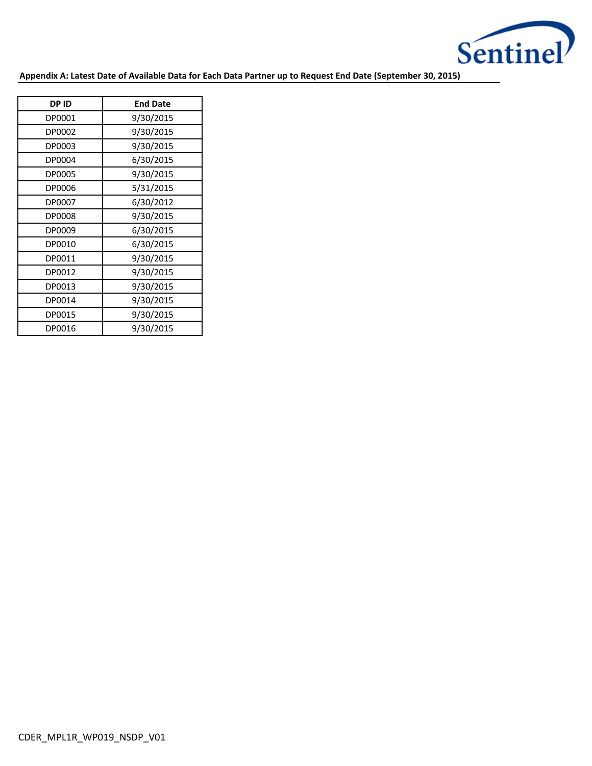

**Appendix A: Latest Date of Available Data for Each Data Partner up to Request End Date (September 30, 2015)**

| <b>DPID</b> | <b>End Date</b> |
|-------------|-----------------|
| DP0001      | 9/30/2015       |
| DP0002      | 9/30/2015       |
| DP0003      | 9/30/2015       |
| DP0004      | 6/30/2015       |
| DP0005      | 9/30/2015       |
| DP0006      | 5/31/2015       |
| DP0007      | 6/30/2012       |
| DP0008      | 9/30/2015       |
| DP0009      | 6/30/2015       |
| DP0010      | 6/30/2015       |
| DP0011      | 9/30/2015       |
| DP0012      | 9/30/2015       |
| DP0013      | 9/30/2015       |
| DP0014      | 9/30/2015       |
| DP0015      | 9/30/2015       |
| DP0016      | 9/30/2015       |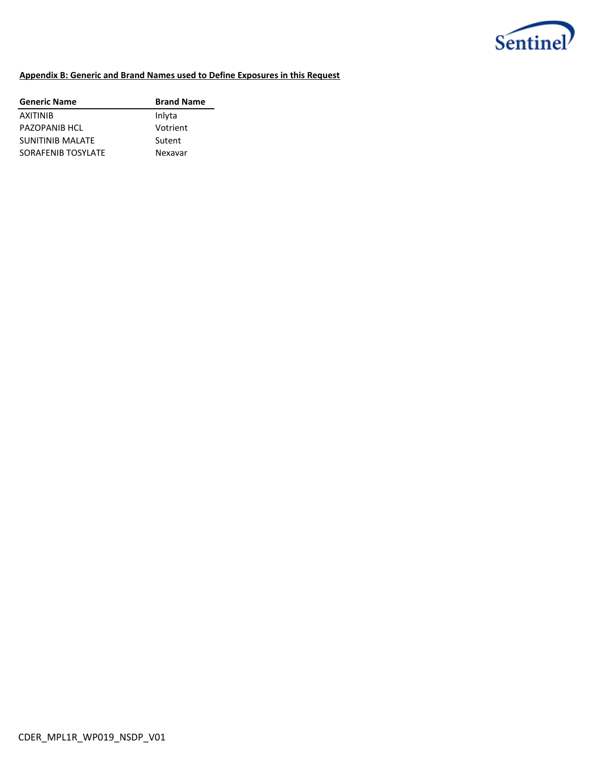

### **Appendix B: Generic and Brand Names used to Define Exposures in this Request**

| <b>Generic Name</b> | <b>Brand Name</b> |
|---------------------|-------------------|
| <b>AXITINIB</b>     | Inlyta            |
| PAZOPANIB HCL       | Votrient          |
| SUNITINIB MALATE    | Sutent            |
| SORAFENIB TOSYLATE  | Nexavar           |